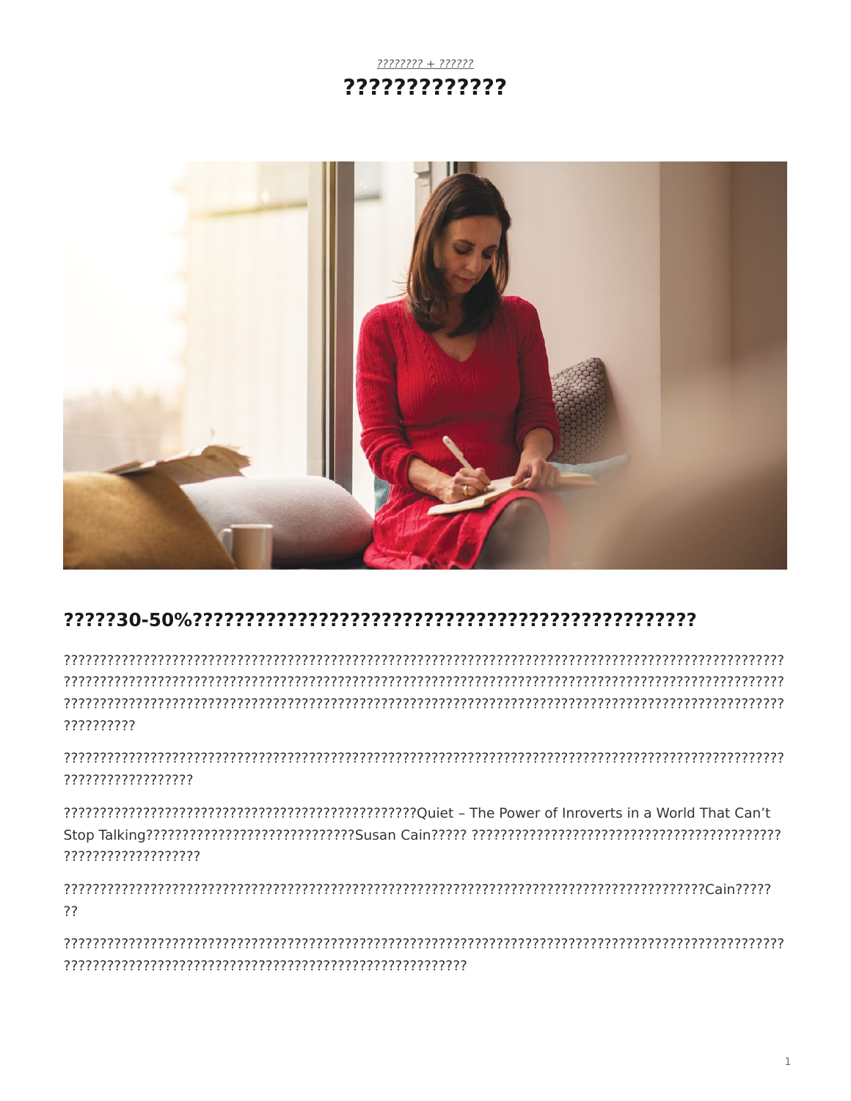## $77777777 + 7777777$ ?????????????



### 

??????????

???????????????????

??????????????????

??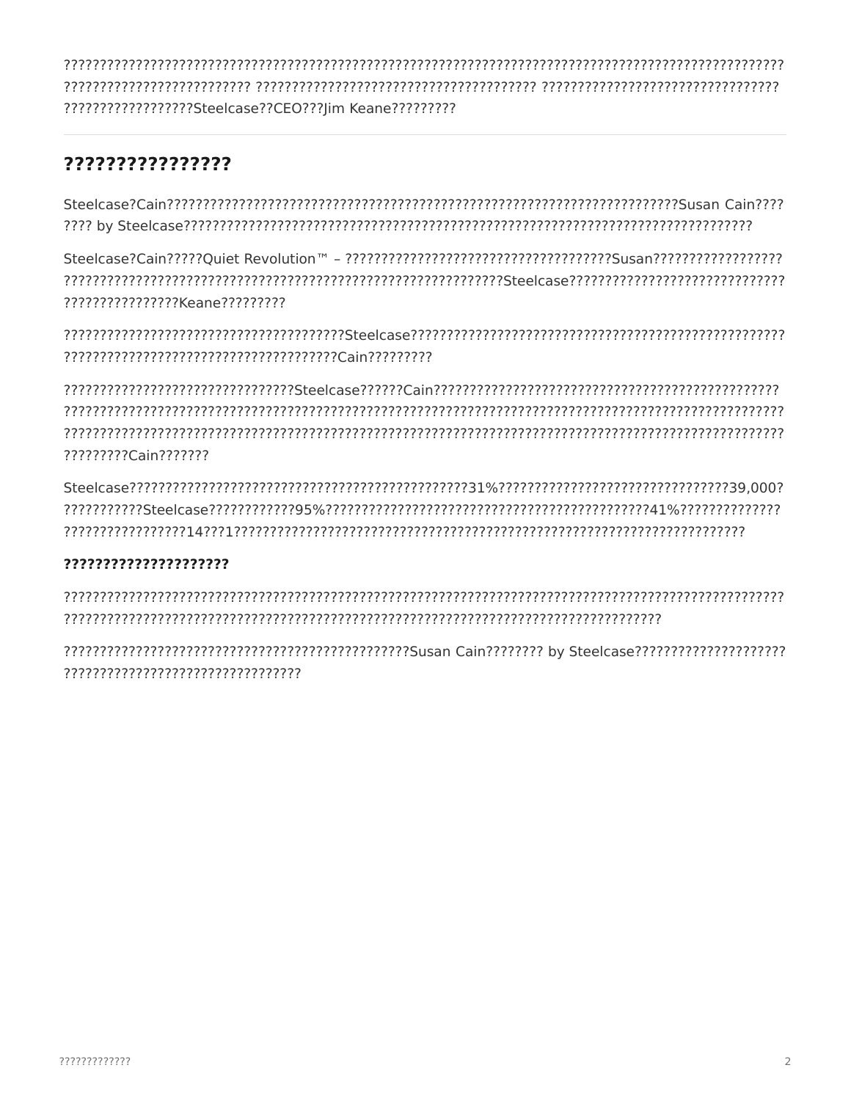??????????????????Steelcase??CEO???Jim Keane??????????

# ????????????????

Steelcase?Cain?????Quiet Revolution™ - ????????????????????????????????Susan???????????????????????? 

?????????Cain???????

### ?????????????????????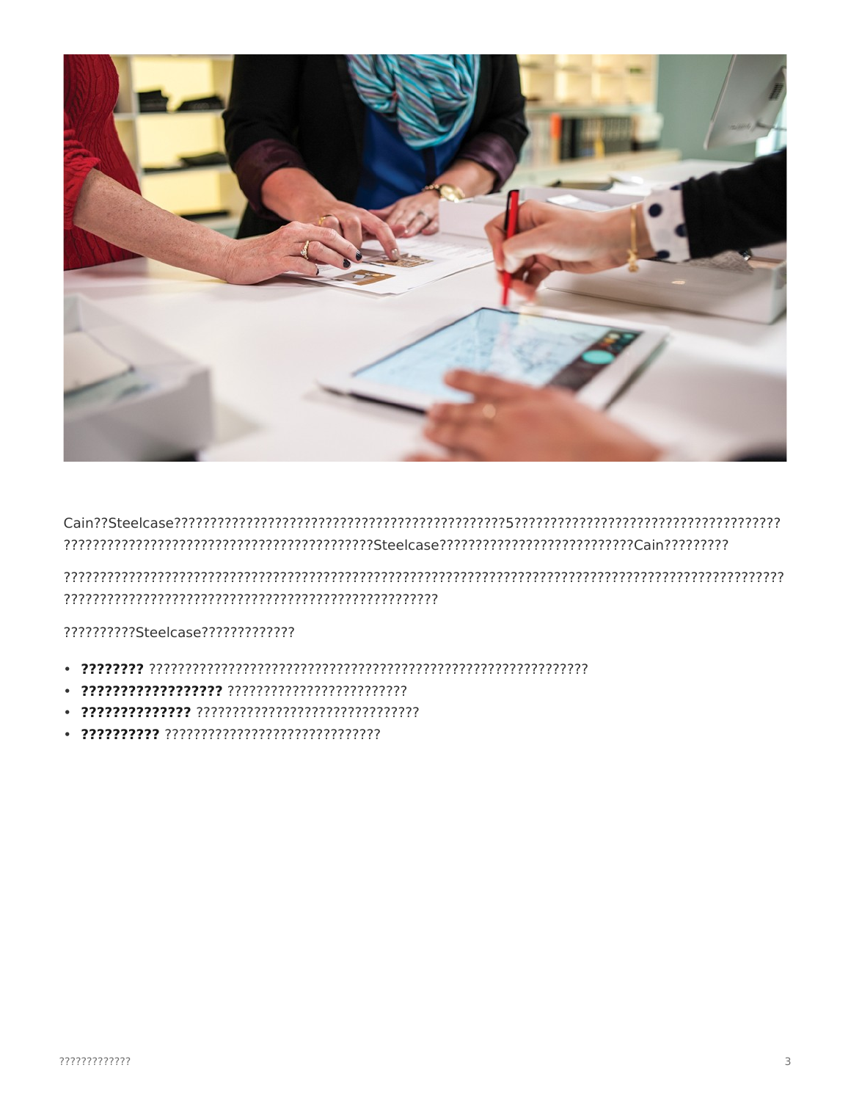

- 
- 
- 
-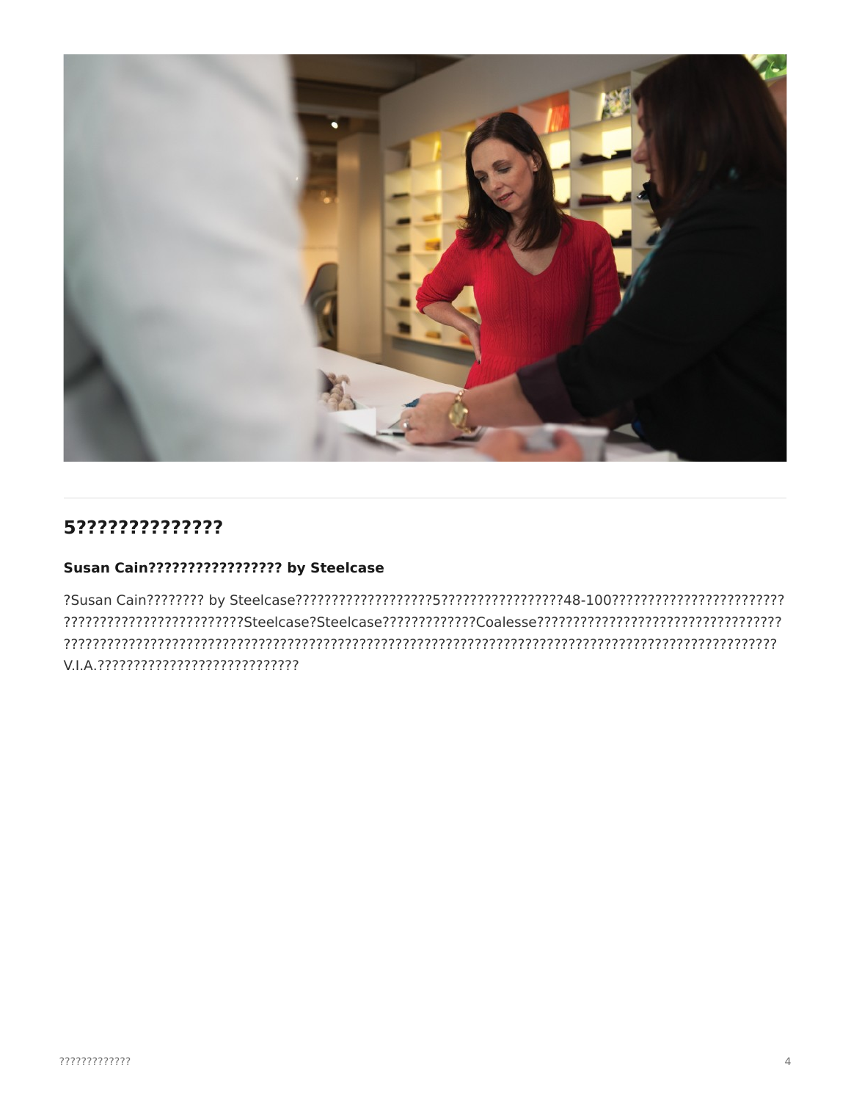

## 5??????????????

#### **Susan Cain????????????????? by Steelcase**

?Susan Cain???????? by Steelcase????????????????????????????????48-100??????????????????????????????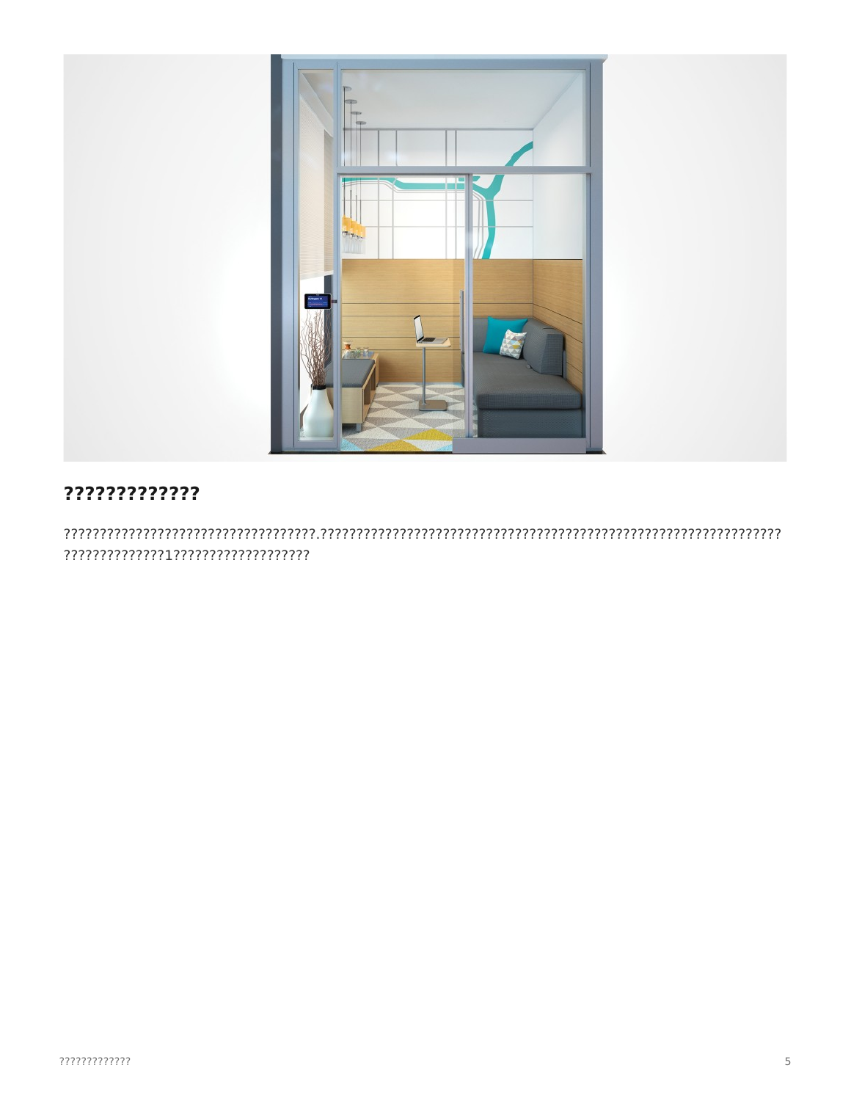

## ?????????????

 $\label{def:constrained} \textbf{?} \textbf{?} \textbf{?} \textbf{?} \textbf{?} \textbf{?} \textbf{?} \textbf{?} \textbf{?} \textbf{?} \textbf{?} \textbf{?} \textbf{?} \textbf{?} \textbf{?} \textbf{?} \textbf{?} \textbf{?} \textbf{?} \textbf{?} \textbf{?} \textbf{?} \textbf{?} \textbf{?} \textbf{?} \textbf{?} \textbf{?} \textbf{?} \textbf{?} \textbf{?} \textbf{?} \textbf{?} \textbf{?} \textbf{?} \textbf{?} \text$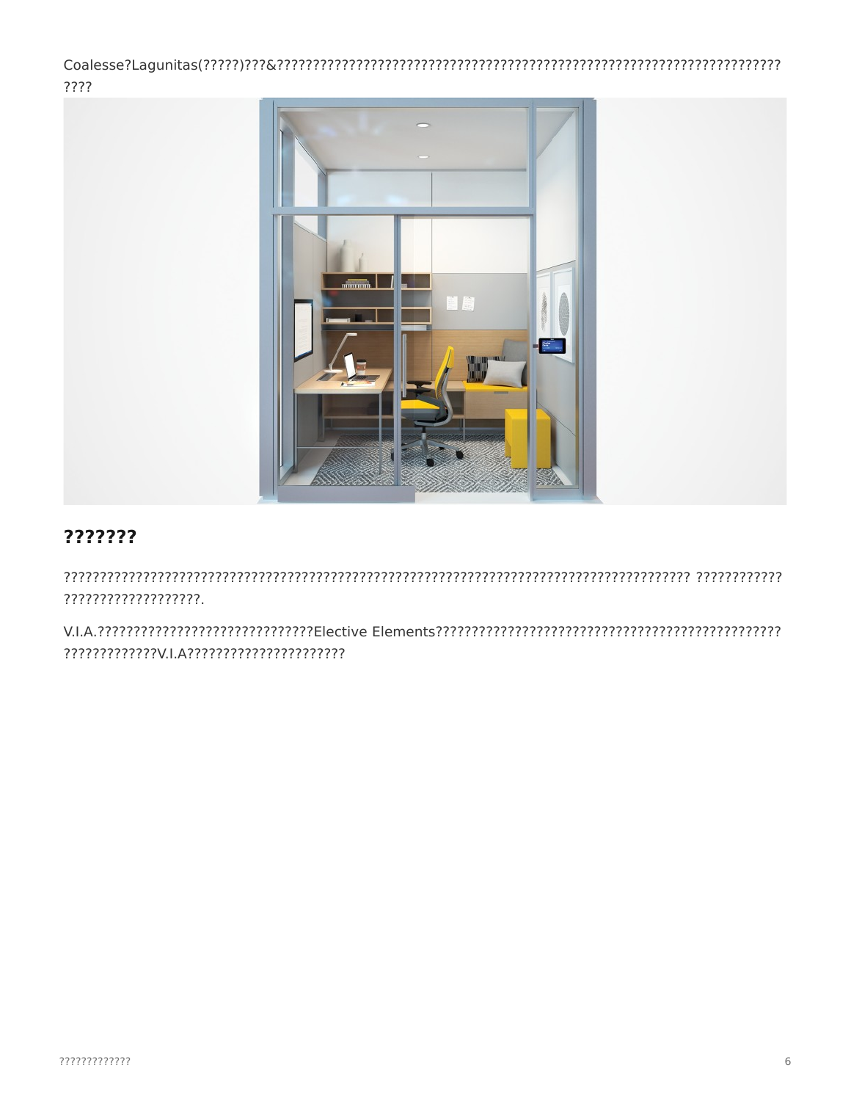????



## ???????

???????????????????.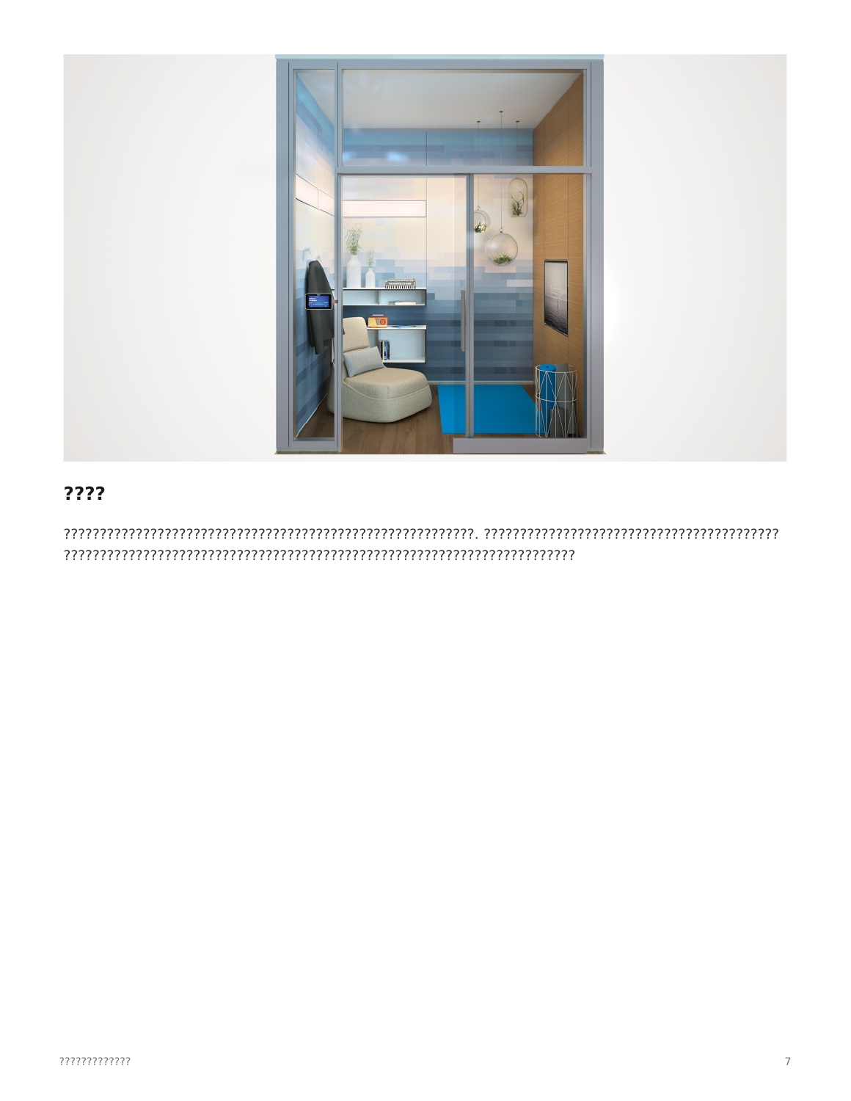

## ????

 $\label{def:constrained} \Omega^{\bullet}(\Omega^{\bullet})\Omega^{\bullet}(\Omega^{\bullet})\Omega^{\bullet}(\Omega^{\bullet})\Omega^{\bullet}(\Omega^{\bullet})\Omega^{\bullet}(\Omega^{\bullet})\Omega^{\bullet}(\Omega^{\bullet})\Omega^{\bullet}(\Omega^{\bullet})\Omega^{\bullet}(\Omega^{\bullet})\Omega^{\bullet}(\Omega^{\bullet})\Omega^{\bullet}(\Omega^{\bullet})\Omega^{\bullet}(\Omega^{\bullet})\Omega^{\bullet}(\Omega^{\bullet})\Omega^{\bullet}(\Omega^{\bullet})\Omega^{\bullet}(\Omega^{\bullet})\Omega^{\bullet}(\Omega^{\bullet})\Omega^{\bullet}(\Omega^{\bullet})\Omega^{\bullet}(\Omega^{\bullet})\Omega^{\bullet}(\Omega$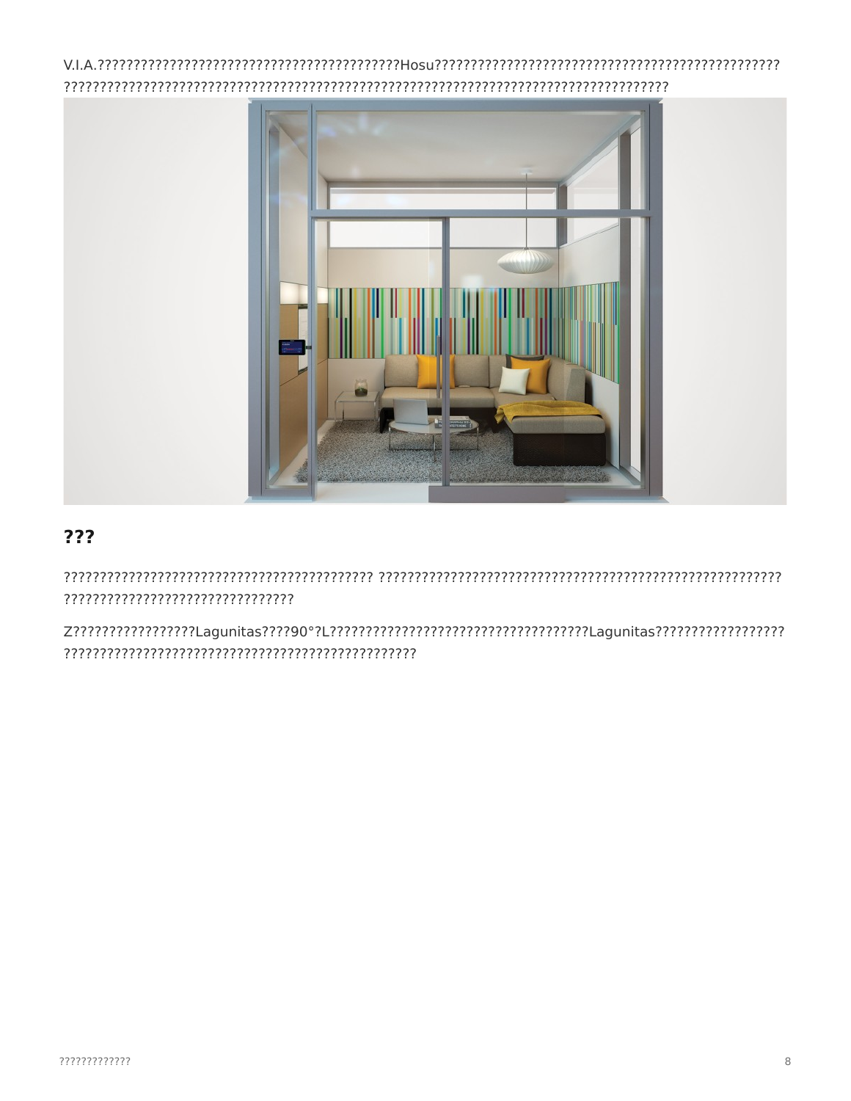

## ???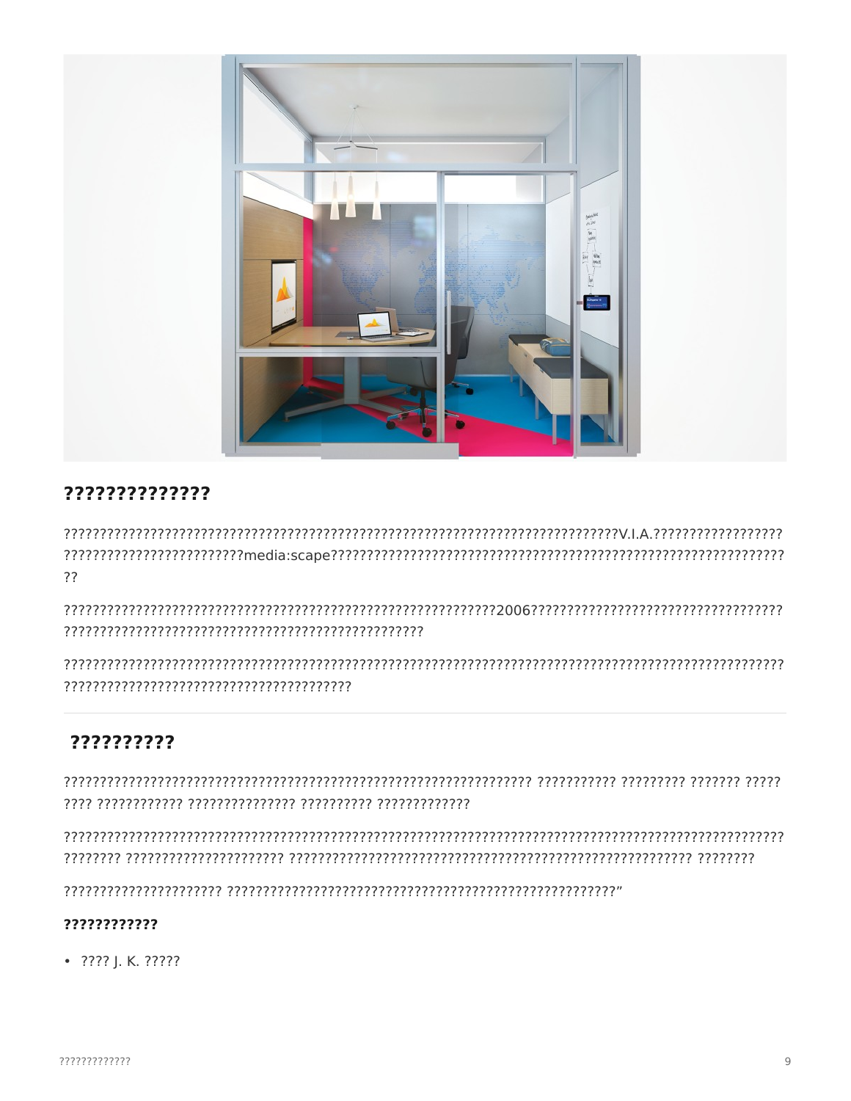

## ??????????????

??

## ??????????

### ????????????

• ???? J. K. ?????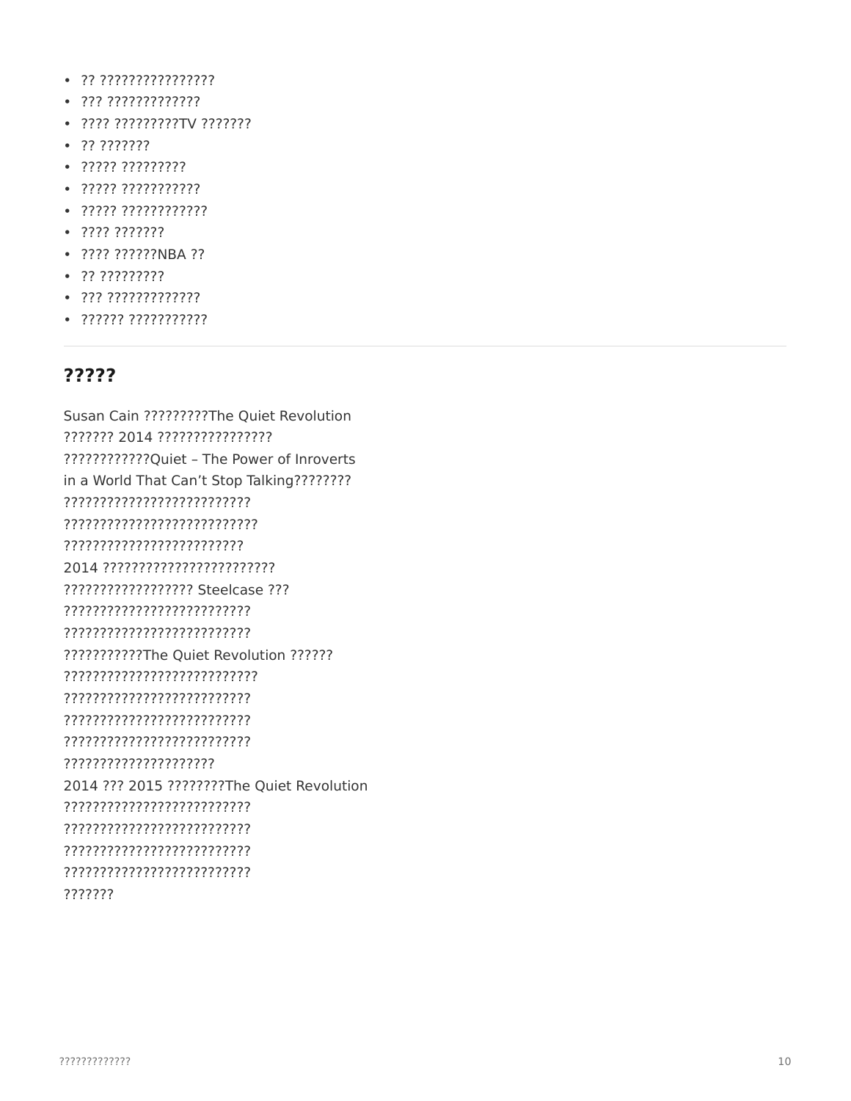- 
- 
- ???? ?????????TV ???????
- $.777777777$
- $.77777777777777777799$
- 
- 
- $.77777777777779$
- ???? ??????NBA ??
- $.7777777777779$
- 
- 

### ?????

Susan Cain ?????????The Quiet Revolution ??????? 2014 ??????????????? ????????????Quiet - The Power of Inroverts in a World That Can't Stop Talking???????? ????????????????????????? 2014 ????????????????????????? ?????????????????? Steelcase ??? ???????????The Quiet Revolution ?????? ?????????????????????????? ????????????????????? 2014 ??? 2015 ????????The Quiet Revolution ?????????????????????????? ???????